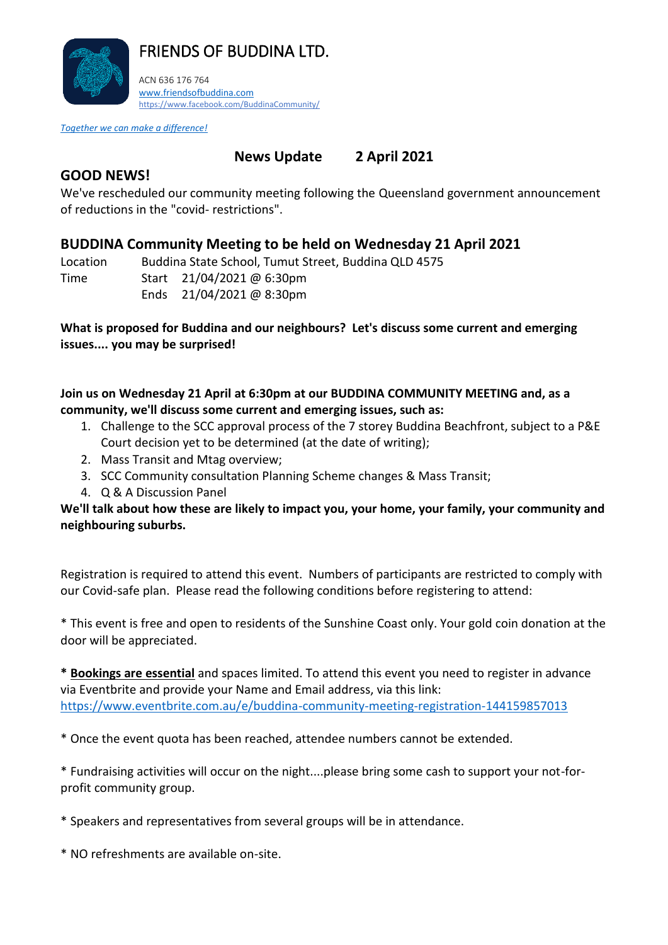

*Together we can make a difference!* 

## **News Update 2 April 2021**

### **GOOD NEWS!**

We've rescheduled our community meeting following the Queensland government announcement of reductions in the "covid- restrictions".

## **BUDDINA Community Meeting to be held on Wednesday 21 April 2021**

| Location | Buddina State School, Tumut Street, Buddina QLD 4575 |
|----------|------------------------------------------------------|
| Time     | Start $21/04/2021$ @ 6:30pm                          |

Ends 21/04/2021 @ 8:30pm

#### **What is proposed for Buddina and our neighbours? Let's discuss some current and emerging issues.... you may be surprised!**

#### **Join us on Wednesday 21 April at 6:30pm at our BUDDINA COMMUNITY MEETING and, as a community, we'll discuss some current and emerging issues, such as:**

- 1. Challenge to the SCC approval process of the 7 storey Buddina Beachfront, subject to a P&E Court decision yet to be determined (at the date of writing);
- 2. Mass Transit and Mtag overview;
- 3. SCC Community consultation Planning Scheme changes & Mass Transit;
- 4. Q & A Discussion Panel

#### **We'll talk about how these are likely to impact you, your home, your family, your community and neighbouring suburbs.**

Registration is required to attend this event. Numbers of participants are restricted to comply with our Covid-safe plan. Please read the following conditions before registering to attend:

\* This event is free and open to residents of the Sunshine Coast only. Your gold coin donation at the door will be appreciated.

**\* Bookings are essential** and spaces limited. To attend this event you need to register in advance via Eventbrite and provide your Name and Email address, via this link: <https://www.eventbrite.com.au/e/buddina-community-meeting-registration-144159857013>

\* Once the event quota has been reached, attendee numbers cannot be extended.

\* Fundraising activities will occur on the night....please bring some cash to support your not-forprofit community group.

\* Speakers and representatives from several groups will be in attendance.

\* NO refreshments are available on-site.